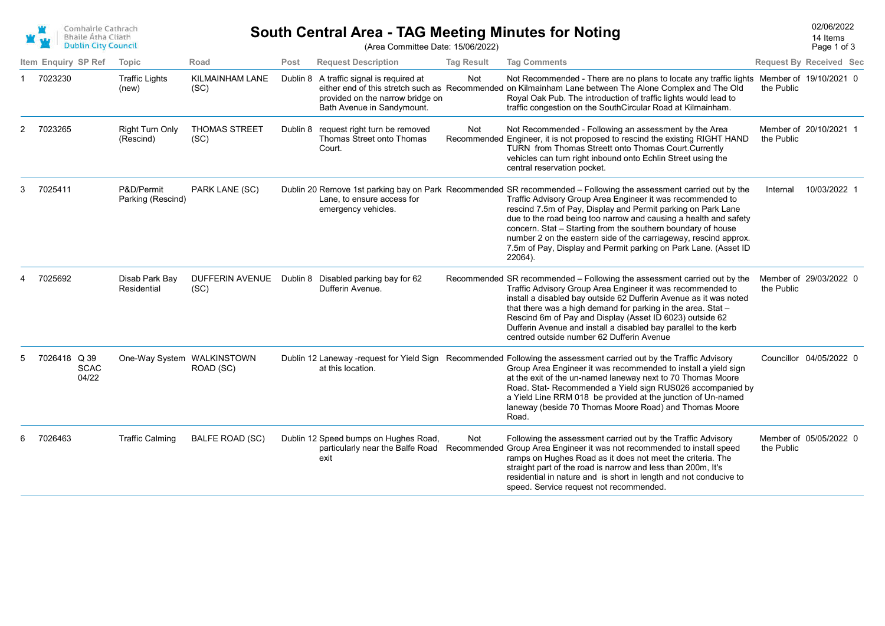| Comhairle Cathrach<br><b>Bhaile Átha Cliath</b> |
|-------------------------------------------------|
| <b>Dublin City Council</b>                      |

## South Central Area - TAG Meeting Minutes for Noting<br>
20206/2022<br>
14 Items

Page 1 of 3 14 Items

| (Area Committee Date: 15/06/2022) |  |
|-----------------------------------|--|
|-----------------------------------|--|

| Item Enquiry SP Ref                  | Topic                               | Road                         | Post     | <b>Request Description</b>                                                                        | <b>Tag Result</b> | <b>Tag Comments</b>                                                                                                                                                                                                                                                                                                                                                                                                                                                                                                                   | <b>Request By Received Sec</b> |                         |  |
|--------------------------------------|-------------------------------------|------------------------------|----------|---------------------------------------------------------------------------------------------------|-------------------|---------------------------------------------------------------------------------------------------------------------------------------------------------------------------------------------------------------------------------------------------------------------------------------------------------------------------------------------------------------------------------------------------------------------------------------------------------------------------------------------------------------------------------------|--------------------------------|-------------------------|--|
| 7023230                              | <b>Traffic Lights</b><br>(new)      | KILMAINHAM LANE<br>(SC)      | Dublin 8 | A traffic signal is required at<br>provided on the narrow bridge on<br>Bath Avenue in Sandymount. | Not               | Not Recommended - There are no plans to locate any traffic lights Member of 19/10/2021 0<br>either end of this stretch such as Recommended on Kilmainham Lane between The Alone Complex and The Old<br>Royal Oak Pub. The introduction of traffic lights would lead to<br>traffic congestion on the SouthCircular Road at Kilmainham.                                                                                                                                                                                                 | the Public                     |                         |  |
| 7023265                              | <b>Right Turn Only</b><br>(Rescind) | <b>THOMAS STREET</b><br>(SC) | Dublin 8 | request right turn be removed<br>Thomas Street onto Thomas<br>Court.                              | Not               | Not Recommended - Following an assessment by the Area<br>Recommended Engineer, it is not proposed to rescind the existing RIGHT HAND<br>TURN from Thomas Streett onto Thomas Court Currently<br>vehicles can turn right inbound onto Echlin Street using the<br>central reservation pocket.                                                                                                                                                                                                                                           | the Public                     | Member of 20/10/2021 1  |  |
| 7025411                              | P&D/Permit<br>Parking (Rescind)     | PARK LANE (SC)               |          | Lane, to ensure access for<br>emergency vehicles.                                                 |                   | Dublin 20 Remove 1st parking bay on Park Recommended SR recommended - Following the assessment carried out by the<br>Traffic Advisory Group Area Engineer it was recommended to<br>rescind 7.5m of Pay, Display and Permit parking on Park Lane<br>due to the road being too narrow and causing a health and safety<br>concern. Stat - Starting from the southern boundary of house<br>number 2 on the eastern side of the carriageway, rescind approx.<br>7.5m of Pay, Display and Permit parking on Park Lane. (Asset ID<br>22064). | Internal                       | 10/03/2022 1            |  |
| 7025692                              | Disab Park Bay<br>Residential       | DUFFERIN AVENUE<br>(SC)      |          | Dublin 8 Disabled parking bay for 62<br>Dufferin Avenue.                                          |                   | Recommended SR recommended - Following the assessment carried out by the<br>Traffic Advisory Group Area Engineer it was recommended to<br>install a disabled bay outside 62 Dufferin Avenue as it was noted<br>that there was a high demand for parking in the area. Stat -<br>Rescind 6m of Pay and Display (Asset ID 6023) outside 62<br>Dufferin Avenue and install a disabled bay parallel to the kerb<br>centred outside number 62 Dufferin Avenue                                                                               | the Public                     | Member of 29/03/2022 0  |  |
| 7026418 Q 39<br><b>SCAC</b><br>04/22 | One-Way System WALKINSTOWN          | ROAD (SC)                    |          | at this location.                                                                                 |                   | Dublin 12 Laneway -request for Yield Sign Recommended Following the assessment carried out by the Traffic Advisory<br>Group Area Engineer it was recommended to install a yield sign<br>at the exit of the un-named laneway next to 70 Thomas Moore<br>Road. Stat- Recommended a Yield sign RUS026 accompanied by<br>a Yield Line RRM 018 be provided at the junction of Un-named<br>laneway (beside 70 Thomas Moore Road) and Thomas Moore<br>Road.                                                                                  |                                | Councillor 04/05/2022 0 |  |
| 7026463                              | <b>Traffic Calming</b>              | <b>BALFE ROAD (SC)</b>       |          | Dublin 12 Speed bumps on Hughes Road,<br>particularly near the Balfe Road<br>exit                 | Not               | Following the assessment carried out by the Traffic Advisory<br>Recommended Group Area Engineer it was not recommended to install speed<br>ramps on Hughes Road as it does not meet the criteria. The<br>straight part of the road is narrow and less than 200m, It's<br>residential in nature and is short in length and not conducive to<br>speed. Service request not recommended.                                                                                                                                                 | the Public                     | Member of 05/05/2022 0  |  |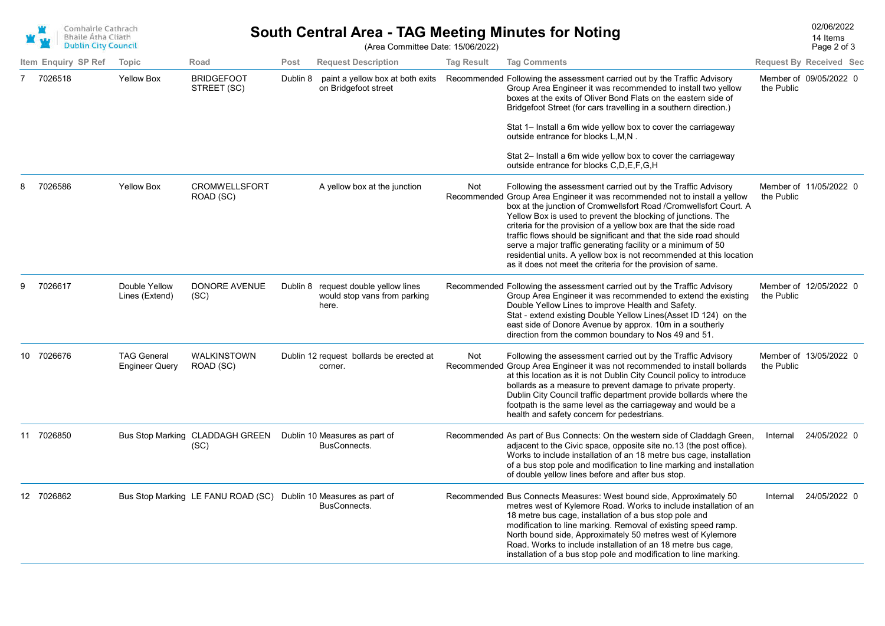

## South Central Area - TAG Meeting Minutes for Noting<br>
2006/2022<br>
14 Items

 $\overline{3}$ 14 Items

|    | <b>DUDIN City Council</b> |                                             |                                                                  |          | (Area Committee Date: 15/06/2022)                                             |                   |                                                                                                                                                                                                                                                                                                                                                                                                                                                                                                                                                                                                                                 |            | Page 2 of 3                    |
|----|---------------------------|---------------------------------------------|------------------------------------------------------------------|----------|-------------------------------------------------------------------------------|-------------------|---------------------------------------------------------------------------------------------------------------------------------------------------------------------------------------------------------------------------------------------------------------------------------------------------------------------------------------------------------------------------------------------------------------------------------------------------------------------------------------------------------------------------------------------------------------------------------------------------------------------------------|------------|--------------------------------|
|    | Item Enguiry SP Ref       | Topic                                       | Road                                                             | Post     | <b>Request Description</b>                                                    | <b>Tag Result</b> | <b>Tag Comments</b>                                                                                                                                                                                                                                                                                                                                                                                                                                                                                                                                                                                                             |            | <b>Request By Received Sec</b> |
|    | 7026518                   | <b>Yellow Box</b>                           | <b>BRIDGEFOOT</b><br>STREET (SC)                                 | Dublin 8 | paint a yellow box at both exits<br>on Bridgefoot street                      |                   | Recommended Following the assessment carried out by the Traffic Advisory<br>Group Area Engineer it was recommended to install two yellow<br>boxes at the exits of Oliver Bond Flats on the eastern side of<br>Bridgefoot Street (for cars travelling in a southern direction.)                                                                                                                                                                                                                                                                                                                                                  | the Public | Member of 09/05/2022 0         |
|    |                           |                                             |                                                                  |          |                                                                               |                   | Stat 1– Install a 6m wide yellow box to cover the carriageway<br>outside entrance for blocks L, M, N.                                                                                                                                                                                                                                                                                                                                                                                                                                                                                                                           |            |                                |
|    |                           |                                             |                                                                  |          |                                                                               |                   | Stat 2- Install a 6m wide yellow box to cover the carriageway<br>outside entrance for blocks C, D, E, F, G, H                                                                                                                                                                                                                                                                                                                                                                                                                                                                                                                   |            |                                |
|    | 7026586                   | <b>Yellow Box</b>                           | <b>CROMWELLSFORT</b><br>ROAD (SC)                                |          | A yellow box at the junction                                                  | Not               | Following the assessment carried out by the Traffic Advisory<br>Recommended Group Area Engineer it was recommended not to install a yellow<br>box at the junction of Cromwellsfort Road /Cromwellsfort Court. A<br>Yellow Box is used to prevent the blocking of junctions. The<br>criteria for the provision of a yellow box are that the side road<br>traffic flows should be significant and that the side road should<br>serve a major traffic generating facility or a minimum of 50<br>residential units. A yellow box is not recommended at this location<br>as it does not meet the criteria for the provision of same. | the Public | Member of 11/05/2022 0         |
|    | 7026617                   | Double Yellow<br>Lines (Extend)             | <b>DONORE AVENUE</b><br>(SC)                                     |          | Dublin 8 request double yellow lines<br>would stop vans from parking<br>here. |                   | Recommended Following the assessment carried out by the Traffic Advisory<br>Group Area Engineer it was recommended to extend the existing<br>Double Yellow Lines to improve Health and Safety.<br>Stat - extend existing Double Yellow Lines(Asset ID 124) on the<br>east side of Donore Avenue by approx. 10m in a southerly<br>direction from the common boundary to Nos 49 and 51.                                                                                                                                                                                                                                           | the Public | Member of 12/05/2022 0         |
| 10 | 7026676                   | <b>TAG General</b><br><b>Engineer Query</b> | <b>WALKINSTOWN</b><br>ROAD (SC)                                  |          | Dublin 12 request bollards be erected at<br>corner.                           | Not               | Following the assessment carried out by the Traffic Advisory<br>Recommended Group Area Engineer it was not recommended to install bollards<br>at this location as it is not Dublin City Council policy to introduce<br>bollards as a measure to prevent damage to private property.<br>Dublin City Council traffic department provide bollards where the<br>footpath is the same level as the carriageway and would be a<br>health and safety concern for pedestrians.                                                                                                                                                          | the Public | Member of 13/05/2022 0         |
| 11 | 7026850                   |                                             | Bus Stop Marking CLADDAGH GREEN<br>(SC)                          |          | Dublin 10 Measures as part of<br>BusConnects.                                 |                   | Recommended As part of Bus Connects: On the western side of Claddagh Green,<br>adjacent to the Civic space, opposite site no.13 (the post office).<br>Works to include installation of an 18 metre bus cage, installation<br>of a bus stop pole and modification to line marking and installation<br>of double yellow lines before and after bus stop.                                                                                                                                                                                                                                                                          | Internal   | 24/05/2022 0                   |
|    | 12 7026862                |                                             | Bus Stop Marking LE FANU ROAD (SC) Dublin 10 Measures as part of |          | BusConnects.                                                                  |                   | Recommended Bus Connects Measures: West bound side, Approximately 50<br>metres west of Kylemore Road. Works to include installation of an<br>18 metre bus cage, installation of a bus stop pole and<br>modification to line marking. Removal of existing speed ramp.<br>North bound side, Approximately 50 metres west of Kylemore<br>Road. Works to include installation of an 18 metre bus cage,                                                                                                                                                                                                                              | Internal   | 24/05/2022 0                   |

installation of a bus stop pole and modification to line marking.